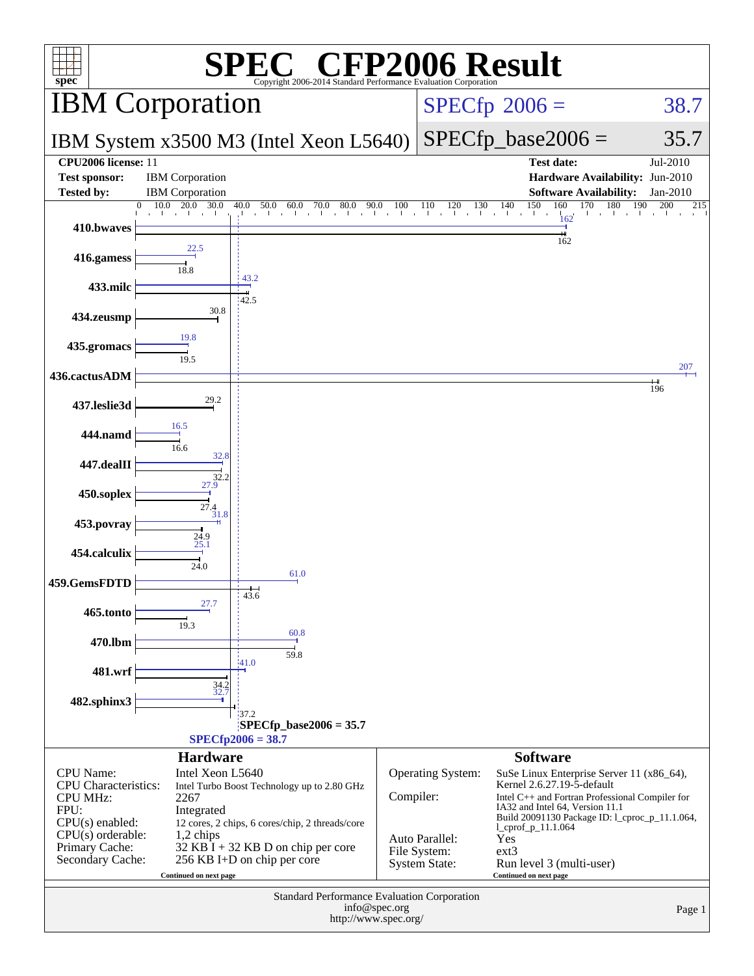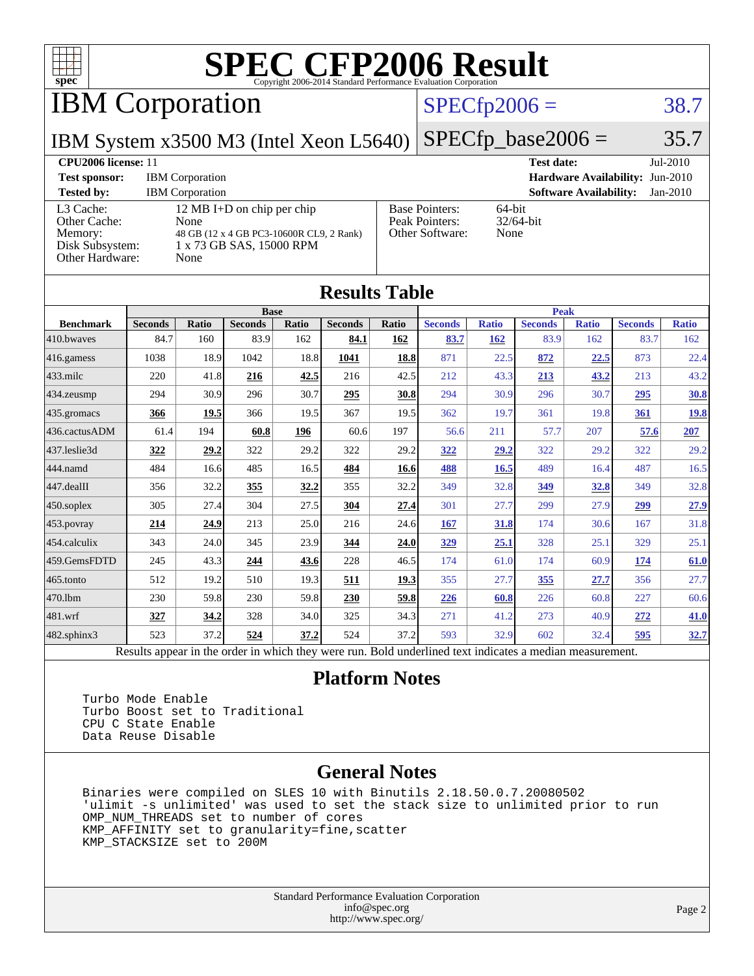

IBM Corporation

### $SPECfp2006 = 38.7$  $SPECfp2006 = 38.7$

 $SPECTp\_base2006 = 35.7$ 

IBM System x3500 M3 (Intel Xeon L5640)

| <b>CPU2006 license: 11</b>                                                 |                                                                                                                    | <b>Test date:</b><br>$Jul-2010$                            |                                             |  |  |
|----------------------------------------------------------------------------|--------------------------------------------------------------------------------------------------------------------|------------------------------------------------------------|---------------------------------------------|--|--|
| <b>Test sponsor:</b>                                                       | <b>IBM</b> Corporation                                                                                             | <b>Hardware Availability: Jun-2010</b>                     |                                             |  |  |
| <b>Tested by:</b>                                                          | <b>IBM</b> Corporation                                                                                             |                                                            | <b>Software Availability:</b><br>$Jan-2010$ |  |  |
| L3 Cache:<br>Other Cache:<br>Memory:<br>Disk Subsystem:<br>Other Hardware: | 12 MB I+D on chip per chip<br>None<br>48 GB (12 x 4 GB PC3-10600R CL9, 2 Rank)<br>1 x 73 GB SAS, 15000 RPM<br>None | <b>Base Pointers:</b><br>Peak Pointers:<br>Other Software: | $64$ -bit<br>$32/64$ -bit<br>None           |  |  |

**[Results Table](http://www.spec.org/auto/cpu2006/Docs/result-fields.html#ResultsTable)**

| Results Table                                                                                            |                |       |                |       |                |       |                |              |                |              |                |              |
|----------------------------------------------------------------------------------------------------------|----------------|-------|----------------|-------|----------------|-------|----------------|--------------|----------------|--------------|----------------|--------------|
|                                                                                                          |                |       | <b>Base</b>    |       |                |       | <b>Peak</b>    |              |                |              |                |              |
| <b>Benchmark</b>                                                                                         | <b>Seconds</b> | Ratio | <b>Seconds</b> | Ratio | <b>Seconds</b> | Ratio | <b>Seconds</b> | <b>Ratio</b> | <b>Seconds</b> | <b>Ratio</b> | <b>Seconds</b> | <b>Ratio</b> |
| 410.bwayes                                                                                               | 84.7           | 160   | 83.9           | 162   | 84.1           | 162   | 83.7           | 162          | 83.9           | 162          | 83.7           | 162          |
| 416.gamess                                                                                               | 1038           | 18.9  | 1042           | 18.8  | 1041           | 18.8  | 871            | 22.5         | 872            | 22.5         | 873            | 22.4         |
| $433$ .milc                                                                                              | 220            | 41.8  | 216            | 42.5  | 216            | 42.5  | 212            | 43.3         | <u>213</u>     | 43.2         | 213            | 43.2         |
| $434$ . zeusmp                                                                                           | 294            | 30.9  | 296            | 30.7  | 295            | 30.8  | 294            | 30.9         | 296            | 30.7         | 295            | <b>30.8</b>  |
| 435.gromacs                                                                                              | 366            | 19.5  | 366            | 19.5  | 367            | 19.5  | 362            | 19.7         | 361            | 19.8         | 361            | <u>19.8</u>  |
| 436.cactusADM                                                                                            | 61.4           | 194   | 60.8           | 196   | 60.6           | 197   | 56.6           | 211          | 57.7           | 207          | 57.6           | 207          |
| 437.leslie3d                                                                                             | 322            | 29.2  | 322            | 29.2  | 322            | 29.2  | 322            | 29.2         | 322            | 29.2         | 322            | 29.2         |
| 444.namd                                                                                                 | 484            | 16.6  | 485            | 16.5  | 484            | 16.6  | 488            | 16.5         | 489            | 16.4         | 487            | 16.5         |
| $ 447 \text{.}$ dealII                                                                                   | 356            | 32.2  | 355            | 32.2  | 355            | 32.2  | 349            | 32.8         | 349            | 32.8         | 349            | 32.8         |
| $450$ .soplex                                                                                            | 305            | 27.4  | 304            | 27.5  | 304            | 27.4  | 301            | 27.7         | 299            | 27.9         | 299            | 27.9         |
| $453$ .povray                                                                                            | 214            | 24.9  | 213            | 25.0  | 216            | 24.6  | 167            | 31.8         | 174            | 30.6         | 167            | 31.8         |
| 454.calculix                                                                                             | 343            | 24.0  | 345            | 23.9  | 344            | 24.0  | <u>329</u>     | 25.1         | 328            | 25.1         | 329            | 25.1         |
| 459.GemsFDTD                                                                                             | 245            | 43.3  | 244            | 43.6  | 228            | 46.5  | 174            | 61.0         | 174            | 60.9         | <u>174</u>     | 61.0         |
| $465$ .tonto                                                                                             | 512            | 19.2  | 510            | 19.3  | 511            | 19.3  | 355            | 27.7         | 355            | 27.7         | 356            | 27.7         |
| 470.1bm                                                                                                  | 230            | 59.8  | 230            | 59.8  | 230            | 59.8  | 226            | 60.8         | 226            | 60.8         | 227            | 60.6         |
| 481.wrf                                                                                                  | 327            | 34.2  | 328            | 34.0  | 325            | 34.3  | 271            | 41.2         | 273            | 40.9         | 272            | 41.0         |
| 482.sphinx3                                                                                              | 523            | 37.2  | 524            | 37.2  | 524            | 37.2  | 593            | 32.9         | 602            | 32.4         | 595            | 32.7         |
| Results appear in the order in which they were run. Bold underlined text indicates a median measurement. |                |       |                |       |                |       |                |              |                |              |                |              |

### **[Platform Notes](http://www.spec.org/auto/cpu2006/Docs/result-fields.html#PlatformNotes)**

 Turbo Mode Enable Turbo Boost set to Traditional CPU C State Enable Data Reuse Disable

### **[General Notes](http://www.spec.org/auto/cpu2006/Docs/result-fields.html#GeneralNotes)**

 Binaries were compiled on SLES 10 with Binutils 2.18.50.0.7.20080502 'ulimit -s unlimited' was used to set the stack size to unlimited prior to run OMP\_NUM\_THREADS set to number of cores KMP\_AFFINITY set to granularity=fine,scatter KMP\_STACKSIZE set to 200M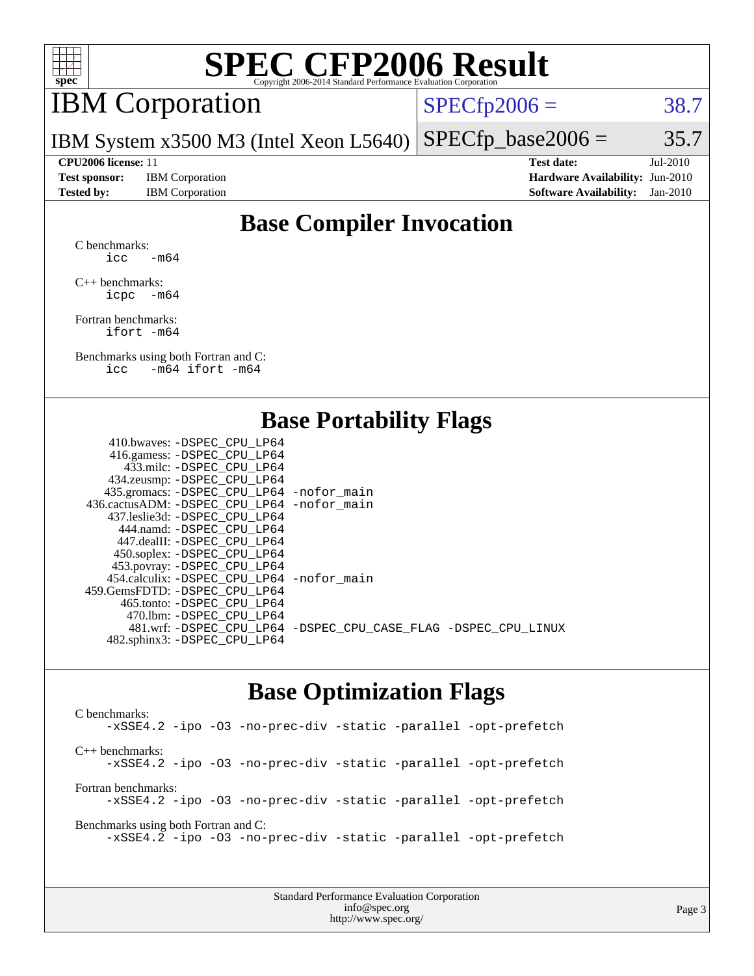

## IBM Corporation

 $SPECTp2006 = 38.7$ 

IBM System x3500 M3 (Intel Xeon L5640)  $SPECTp\_base2006 = 35.7$ 

**[Test sponsor:](http://www.spec.org/auto/cpu2006/Docs/result-fields.html#Testsponsor)** IBM Corporation **[Hardware Availability:](http://www.spec.org/auto/cpu2006/Docs/result-fields.html#HardwareAvailability)** Jun-2010

**[CPU2006 license:](http://www.spec.org/auto/cpu2006/Docs/result-fields.html#CPU2006license)** 11 **[Test date:](http://www.spec.org/auto/cpu2006/Docs/result-fields.html#Testdate)** Jul-2010 **[Tested by:](http://www.spec.org/auto/cpu2006/Docs/result-fields.html#Testedby)** IBM Corporation **[Software Availability:](http://www.spec.org/auto/cpu2006/Docs/result-fields.html#SoftwareAvailability)** Jan-2010

### **[Base Compiler Invocation](http://www.spec.org/auto/cpu2006/Docs/result-fields.html#BaseCompilerInvocation)**

[C benchmarks](http://www.spec.org/auto/cpu2006/Docs/result-fields.html#Cbenchmarks): icc  $-m64$ 

[C++ benchmarks:](http://www.spec.org/auto/cpu2006/Docs/result-fields.html#CXXbenchmarks) [icpc -m64](http://www.spec.org/cpu2006/results/res2010q3/cpu2006-20100802-12740.flags.html#user_CXXbase_intel_icpc_64bit_bedb90c1146cab66620883ef4f41a67e)

[Fortran benchmarks](http://www.spec.org/auto/cpu2006/Docs/result-fields.html#Fortranbenchmarks): [ifort -m64](http://www.spec.org/cpu2006/results/res2010q3/cpu2006-20100802-12740.flags.html#user_FCbase_intel_ifort_64bit_ee9d0fb25645d0210d97eb0527dcc06e)

[Benchmarks using both Fortran and C](http://www.spec.org/auto/cpu2006/Docs/result-fields.html#BenchmarksusingbothFortranandC): [icc -m64](http://www.spec.org/cpu2006/results/res2010q3/cpu2006-20100802-12740.flags.html#user_CC_FCbase_intel_icc_64bit_0b7121f5ab7cfabee23d88897260401c) [ifort -m64](http://www.spec.org/cpu2006/results/res2010q3/cpu2006-20100802-12740.flags.html#user_CC_FCbase_intel_ifort_64bit_ee9d0fb25645d0210d97eb0527dcc06e)

### **[Base Portability Flags](http://www.spec.org/auto/cpu2006/Docs/result-fields.html#BasePortabilityFlags)**

| 410.bwaves: -DSPEC CPU LP64                  |                                                                |
|----------------------------------------------|----------------------------------------------------------------|
| 416.gamess: - DSPEC_CPU_LP64                 |                                                                |
| 433.milc: -DSPEC CPU LP64                    |                                                                |
| 434.zeusmp: -DSPEC_CPU_LP64                  |                                                                |
| 435.gromacs: -DSPEC_CPU_LP64 -nofor_main     |                                                                |
| 436.cactusADM: - DSPEC CPU LP64 - nofor main |                                                                |
| 437.leslie3d: -DSPEC CPU LP64                |                                                                |
| 444.namd: - DSPEC CPU LP64                   |                                                                |
| 447.dealII: - DSPEC CPU LP64                 |                                                                |
| 450.soplex: -DSPEC_CPU_LP64                  |                                                                |
| 453.povray: -DSPEC_CPU_LP64                  |                                                                |
| 454.calculix: - DSPEC CPU LP64 - nofor main  |                                                                |
| 459. GemsFDTD: - DSPEC CPU LP64              |                                                                |
| 465.tonto: - DSPEC CPU LP64                  |                                                                |
| 470.1bm: - DSPEC CPU LP64                    |                                                                |
|                                              | 481.wrf: -DSPEC_CPU_LP64 -DSPEC_CPU_CASE_FLAG -DSPEC_CPU_LINUX |
| 482.sphinx3: -DSPEC_CPU_LP64                 |                                                                |
|                                              |                                                                |

### **[Base Optimization Flags](http://www.spec.org/auto/cpu2006/Docs/result-fields.html#BaseOptimizationFlags)**

[C benchmarks](http://www.spec.org/auto/cpu2006/Docs/result-fields.html#Cbenchmarks): [-xSSE4.2](http://www.spec.org/cpu2006/results/res2010q3/cpu2006-20100802-12740.flags.html#user_CCbase_f-xSSE42_f91528193cf0b216347adb8b939d4107) [-ipo](http://www.spec.org/cpu2006/results/res2010q3/cpu2006-20100802-12740.flags.html#user_CCbase_f-ipo) [-O3](http://www.spec.org/cpu2006/results/res2010q3/cpu2006-20100802-12740.flags.html#user_CCbase_f-O3) [-no-prec-div](http://www.spec.org/cpu2006/results/res2010q3/cpu2006-20100802-12740.flags.html#user_CCbase_f-no-prec-div) [-static](http://www.spec.org/cpu2006/results/res2010q3/cpu2006-20100802-12740.flags.html#user_CCbase_f-static) [-parallel](http://www.spec.org/cpu2006/results/res2010q3/cpu2006-20100802-12740.flags.html#user_CCbase_f-parallel) [-opt-prefetch](http://www.spec.org/cpu2006/results/res2010q3/cpu2006-20100802-12740.flags.html#user_CCbase_f-opt-prefetch) [C++ benchmarks:](http://www.spec.org/auto/cpu2006/Docs/result-fields.html#CXXbenchmarks) [-xSSE4.2](http://www.spec.org/cpu2006/results/res2010q3/cpu2006-20100802-12740.flags.html#user_CXXbase_f-xSSE42_f91528193cf0b216347adb8b939d4107) [-ipo](http://www.spec.org/cpu2006/results/res2010q3/cpu2006-20100802-12740.flags.html#user_CXXbase_f-ipo) [-O3](http://www.spec.org/cpu2006/results/res2010q3/cpu2006-20100802-12740.flags.html#user_CXXbase_f-O3) [-no-prec-div](http://www.spec.org/cpu2006/results/res2010q3/cpu2006-20100802-12740.flags.html#user_CXXbase_f-no-prec-div) [-static](http://www.spec.org/cpu2006/results/res2010q3/cpu2006-20100802-12740.flags.html#user_CXXbase_f-static) [-parallel](http://www.spec.org/cpu2006/results/res2010q3/cpu2006-20100802-12740.flags.html#user_CXXbase_f-parallel) [-opt-prefetch](http://www.spec.org/cpu2006/results/res2010q3/cpu2006-20100802-12740.flags.html#user_CXXbase_f-opt-prefetch) [Fortran benchmarks](http://www.spec.org/auto/cpu2006/Docs/result-fields.html#Fortranbenchmarks): [-xSSE4.2](http://www.spec.org/cpu2006/results/res2010q3/cpu2006-20100802-12740.flags.html#user_FCbase_f-xSSE42_f91528193cf0b216347adb8b939d4107) [-ipo](http://www.spec.org/cpu2006/results/res2010q3/cpu2006-20100802-12740.flags.html#user_FCbase_f-ipo) [-O3](http://www.spec.org/cpu2006/results/res2010q3/cpu2006-20100802-12740.flags.html#user_FCbase_f-O3) [-no-prec-div](http://www.spec.org/cpu2006/results/res2010q3/cpu2006-20100802-12740.flags.html#user_FCbase_f-no-prec-div) [-static](http://www.spec.org/cpu2006/results/res2010q3/cpu2006-20100802-12740.flags.html#user_FCbase_f-static) [-parallel](http://www.spec.org/cpu2006/results/res2010q3/cpu2006-20100802-12740.flags.html#user_FCbase_f-parallel) [-opt-prefetch](http://www.spec.org/cpu2006/results/res2010q3/cpu2006-20100802-12740.flags.html#user_FCbase_f-opt-prefetch) [Benchmarks using both Fortran and C](http://www.spec.org/auto/cpu2006/Docs/result-fields.html#BenchmarksusingbothFortranandC): [-xSSE4.2](http://www.spec.org/cpu2006/results/res2010q3/cpu2006-20100802-12740.flags.html#user_CC_FCbase_f-xSSE42_f91528193cf0b216347adb8b939d4107) [-ipo](http://www.spec.org/cpu2006/results/res2010q3/cpu2006-20100802-12740.flags.html#user_CC_FCbase_f-ipo) [-O3](http://www.spec.org/cpu2006/results/res2010q3/cpu2006-20100802-12740.flags.html#user_CC_FCbase_f-O3) [-no-prec-div](http://www.spec.org/cpu2006/results/res2010q3/cpu2006-20100802-12740.flags.html#user_CC_FCbase_f-no-prec-div) [-static](http://www.spec.org/cpu2006/results/res2010q3/cpu2006-20100802-12740.flags.html#user_CC_FCbase_f-static) [-parallel](http://www.spec.org/cpu2006/results/res2010q3/cpu2006-20100802-12740.flags.html#user_CC_FCbase_f-parallel) [-opt-prefetch](http://www.spec.org/cpu2006/results/res2010q3/cpu2006-20100802-12740.flags.html#user_CC_FCbase_f-opt-prefetch)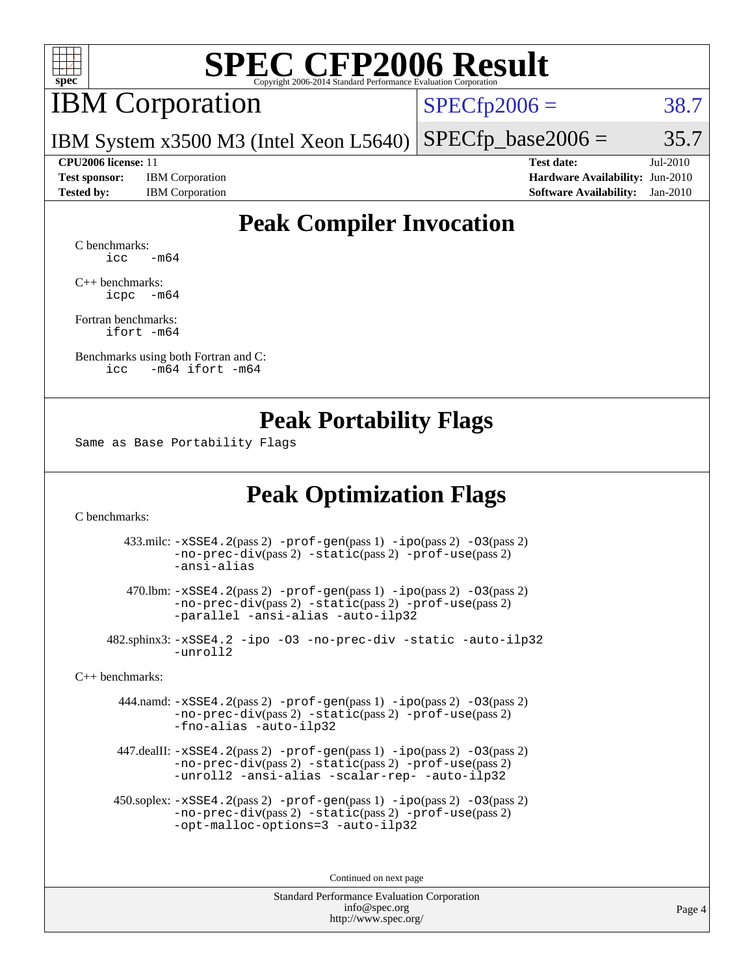

## IBM Corporation

 $SPECfp2006 = 38.7$  $SPECfp2006 = 38.7$ 

IBM System x3500 M3 (Intel Xeon L5640)  $SPECTp\_base2006 = 35.7$ 

**[Test sponsor:](http://www.spec.org/auto/cpu2006/Docs/result-fields.html#Testsponsor)** IBM Corporation **[Hardware Availability:](http://www.spec.org/auto/cpu2006/Docs/result-fields.html#HardwareAvailability)** Jun-2010

**[CPU2006 license:](http://www.spec.org/auto/cpu2006/Docs/result-fields.html#CPU2006license)** 11 **[Test date:](http://www.spec.org/auto/cpu2006/Docs/result-fields.html#Testdate)** Jul-2010 **[Tested by:](http://www.spec.org/auto/cpu2006/Docs/result-fields.html#Testedby)** IBM Corporation **[Software Availability:](http://www.spec.org/auto/cpu2006/Docs/result-fields.html#SoftwareAvailability)** Jan-2010

### **[Peak Compiler Invocation](http://www.spec.org/auto/cpu2006/Docs/result-fields.html#PeakCompilerInvocation)**

[C benchmarks](http://www.spec.org/auto/cpu2006/Docs/result-fields.html#Cbenchmarks):  $\text{icc}$   $-\text{m64}$ 

[C++ benchmarks:](http://www.spec.org/auto/cpu2006/Docs/result-fields.html#CXXbenchmarks) [icpc -m64](http://www.spec.org/cpu2006/results/res2010q3/cpu2006-20100802-12740.flags.html#user_CXXpeak_intel_icpc_64bit_bedb90c1146cab66620883ef4f41a67e)

[Fortran benchmarks](http://www.spec.org/auto/cpu2006/Docs/result-fields.html#Fortranbenchmarks): [ifort -m64](http://www.spec.org/cpu2006/results/res2010q3/cpu2006-20100802-12740.flags.html#user_FCpeak_intel_ifort_64bit_ee9d0fb25645d0210d97eb0527dcc06e)

[Benchmarks using both Fortran and C](http://www.spec.org/auto/cpu2006/Docs/result-fields.html#BenchmarksusingbothFortranandC): [icc -m64](http://www.spec.org/cpu2006/results/res2010q3/cpu2006-20100802-12740.flags.html#user_CC_FCpeak_intel_icc_64bit_0b7121f5ab7cfabee23d88897260401c) [ifort -m64](http://www.spec.org/cpu2006/results/res2010q3/cpu2006-20100802-12740.flags.html#user_CC_FCpeak_intel_ifort_64bit_ee9d0fb25645d0210d97eb0527dcc06e)

### **[Peak Portability Flags](http://www.spec.org/auto/cpu2006/Docs/result-fields.html#PeakPortabilityFlags)**

Same as Base Portability Flags

### **[Peak Optimization Flags](http://www.spec.org/auto/cpu2006/Docs/result-fields.html#PeakOptimizationFlags)**

[C benchmarks](http://www.spec.org/auto/cpu2006/Docs/result-fields.html#Cbenchmarks):

 433.milc: [-xSSE4.2](http://www.spec.org/cpu2006/results/res2010q3/cpu2006-20100802-12740.flags.html#user_peakPASS2_CFLAGSPASS2_LDFLAGS433_milc_f-xSSE42_f91528193cf0b216347adb8b939d4107)(pass 2) [-prof-gen](http://www.spec.org/cpu2006/results/res2010q3/cpu2006-20100802-12740.flags.html#user_peakPASS1_CFLAGSPASS1_LDFLAGS433_milc_prof_gen_e43856698f6ca7b7e442dfd80e94a8fc)(pass 1) [-ipo](http://www.spec.org/cpu2006/results/res2010q3/cpu2006-20100802-12740.flags.html#user_peakPASS2_CFLAGSPASS2_LDFLAGS433_milc_f-ipo)(pass 2) [-O3](http://www.spec.org/cpu2006/results/res2010q3/cpu2006-20100802-12740.flags.html#user_peakPASS2_CFLAGSPASS2_LDFLAGS433_milc_f-O3)(pass 2) [-no-prec-div](http://www.spec.org/cpu2006/results/res2010q3/cpu2006-20100802-12740.flags.html#user_peakPASS2_CFLAGSPASS2_LDFLAGS433_milc_f-no-prec-div)(pass 2) [-static](http://www.spec.org/cpu2006/results/res2010q3/cpu2006-20100802-12740.flags.html#user_peakPASS2_CFLAGSPASS2_LDFLAGS433_milc_f-static)(pass 2) [-prof-use](http://www.spec.org/cpu2006/results/res2010q3/cpu2006-20100802-12740.flags.html#user_peakPASS2_CFLAGSPASS2_LDFLAGS433_milc_prof_use_bccf7792157ff70d64e32fe3e1250b55)(pass 2) [-ansi-alias](http://www.spec.org/cpu2006/results/res2010q3/cpu2006-20100802-12740.flags.html#user_peakOPTIMIZE433_milc_f-ansi-alias)

 470.lbm: [-xSSE4.2](http://www.spec.org/cpu2006/results/res2010q3/cpu2006-20100802-12740.flags.html#user_peakPASS2_CFLAGSPASS2_LDFLAGS470_lbm_f-xSSE42_f91528193cf0b216347adb8b939d4107)(pass 2) [-prof-gen](http://www.spec.org/cpu2006/results/res2010q3/cpu2006-20100802-12740.flags.html#user_peakPASS1_CFLAGSPASS1_LDFLAGS470_lbm_prof_gen_e43856698f6ca7b7e442dfd80e94a8fc)(pass 1) [-ipo](http://www.spec.org/cpu2006/results/res2010q3/cpu2006-20100802-12740.flags.html#user_peakPASS2_CFLAGSPASS2_LDFLAGS470_lbm_f-ipo)(pass 2) [-O3](http://www.spec.org/cpu2006/results/res2010q3/cpu2006-20100802-12740.flags.html#user_peakPASS2_CFLAGSPASS2_LDFLAGS470_lbm_f-O3)(pass 2) [-no-prec-div](http://www.spec.org/cpu2006/results/res2010q3/cpu2006-20100802-12740.flags.html#user_peakPASS2_CFLAGSPASS2_LDFLAGS470_lbm_f-no-prec-div)(pass 2) [-static](http://www.spec.org/cpu2006/results/res2010q3/cpu2006-20100802-12740.flags.html#user_peakPASS2_CFLAGSPASS2_LDFLAGS470_lbm_f-static)(pass 2) [-prof-use](http://www.spec.org/cpu2006/results/res2010q3/cpu2006-20100802-12740.flags.html#user_peakPASS2_CFLAGSPASS2_LDFLAGS470_lbm_prof_use_bccf7792157ff70d64e32fe3e1250b55)(pass 2) [-parallel](http://www.spec.org/cpu2006/results/res2010q3/cpu2006-20100802-12740.flags.html#user_peakOPTIMIZE470_lbm_f-parallel) [-ansi-alias](http://www.spec.org/cpu2006/results/res2010q3/cpu2006-20100802-12740.flags.html#user_peakOPTIMIZE470_lbm_f-ansi-alias) [-auto-ilp32](http://www.spec.org/cpu2006/results/res2010q3/cpu2006-20100802-12740.flags.html#user_peakCOPTIMIZE470_lbm_f-auto-ilp32)

 482.sphinx3: [-xSSE4.2](http://www.spec.org/cpu2006/results/res2010q3/cpu2006-20100802-12740.flags.html#user_peakOPTIMIZE482_sphinx3_f-xSSE42_f91528193cf0b216347adb8b939d4107) [-ipo](http://www.spec.org/cpu2006/results/res2010q3/cpu2006-20100802-12740.flags.html#user_peakOPTIMIZE482_sphinx3_f-ipo) [-O3](http://www.spec.org/cpu2006/results/res2010q3/cpu2006-20100802-12740.flags.html#user_peakOPTIMIZE482_sphinx3_f-O3) [-no-prec-div](http://www.spec.org/cpu2006/results/res2010q3/cpu2006-20100802-12740.flags.html#user_peakOPTIMIZE482_sphinx3_f-no-prec-div) [-static](http://www.spec.org/cpu2006/results/res2010q3/cpu2006-20100802-12740.flags.html#user_peakOPTIMIZE482_sphinx3_f-static) [-auto-ilp32](http://www.spec.org/cpu2006/results/res2010q3/cpu2006-20100802-12740.flags.html#user_peakCOPTIMIZE482_sphinx3_f-auto-ilp32) [-unroll2](http://www.spec.org/cpu2006/results/res2010q3/cpu2006-20100802-12740.flags.html#user_peakCOPTIMIZE482_sphinx3_f-unroll_784dae83bebfb236979b41d2422d7ec2)

[C++ benchmarks:](http://www.spec.org/auto/cpu2006/Docs/result-fields.html#CXXbenchmarks)

 444.namd: [-xSSE4.2](http://www.spec.org/cpu2006/results/res2010q3/cpu2006-20100802-12740.flags.html#user_peakPASS2_CXXFLAGSPASS2_LDFLAGS444_namd_f-xSSE42_f91528193cf0b216347adb8b939d4107)(pass 2) [-prof-gen](http://www.spec.org/cpu2006/results/res2010q3/cpu2006-20100802-12740.flags.html#user_peakPASS1_CXXFLAGSPASS1_LDFLAGS444_namd_prof_gen_e43856698f6ca7b7e442dfd80e94a8fc)(pass 1) [-ipo](http://www.spec.org/cpu2006/results/res2010q3/cpu2006-20100802-12740.flags.html#user_peakPASS2_CXXFLAGSPASS2_LDFLAGS444_namd_f-ipo)(pass 2) [-O3](http://www.spec.org/cpu2006/results/res2010q3/cpu2006-20100802-12740.flags.html#user_peakPASS2_CXXFLAGSPASS2_LDFLAGS444_namd_f-O3)(pass 2) [-no-prec-div](http://www.spec.org/cpu2006/results/res2010q3/cpu2006-20100802-12740.flags.html#user_peakPASS2_CXXFLAGSPASS2_LDFLAGS444_namd_f-no-prec-div)(pass 2) [-static](http://www.spec.org/cpu2006/results/res2010q3/cpu2006-20100802-12740.flags.html#user_peakPASS2_CXXFLAGSPASS2_LDFLAGS444_namd_f-static)(pass 2) [-prof-use](http://www.spec.org/cpu2006/results/res2010q3/cpu2006-20100802-12740.flags.html#user_peakPASS2_CXXFLAGSPASS2_LDFLAGS444_namd_prof_use_bccf7792157ff70d64e32fe3e1250b55)(pass 2) [-fno-alias](http://www.spec.org/cpu2006/results/res2010q3/cpu2006-20100802-12740.flags.html#user_peakOPTIMIZE444_namd_f-no-alias_694e77f6c5a51e658e82ccff53a9e63a) [-auto-ilp32](http://www.spec.org/cpu2006/results/res2010q3/cpu2006-20100802-12740.flags.html#user_peakCXXOPTIMIZE444_namd_f-auto-ilp32)

 447.dealII: [-xSSE4.2](http://www.spec.org/cpu2006/results/res2010q3/cpu2006-20100802-12740.flags.html#user_peakPASS2_CXXFLAGSPASS2_LDFLAGS447_dealII_f-xSSE42_f91528193cf0b216347adb8b939d4107)(pass 2) [-prof-gen](http://www.spec.org/cpu2006/results/res2010q3/cpu2006-20100802-12740.flags.html#user_peakPASS1_CXXFLAGSPASS1_LDFLAGS447_dealII_prof_gen_e43856698f6ca7b7e442dfd80e94a8fc)(pass 1) [-ipo](http://www.spec.org/cpu2006/results/res2010q3/cpu2006-20100802-12740.flags.html#user_peakPASS2_CXXFLAGSPASS2_LDFLAGS447_dealII_f-ipo)(pass 2) [-O3](http://www.spec.org/cpu2006/results/res2010q3/cpu2006-20100802-12740.flags.html#user_peakPASS2_CXXFLAGSPASS2_LDFLAGS447_dealII_f-O3)(pass 2) [-no-prec-div](http://www.spec.org/cpu2006/results/res2010q3/cpu2006-20100802-12740.flags.html#user_peakPASS2_CXXFLAGSPASS2_LDFLAGS447_dealII_f-no-prec-div)(pass 2) [-static](http://www.spec.org/cpu2006/results/res2010q3/cpu2006-20100802-12740.flags.html#user_peakPASS2_CXXFLAGSPASS2_LDFLAGS447_dealII_f-static)(pass 2) [-prof-use](http://www.spec.org/cpu2006/results/res2010q3/cpu2006-20100802-12740.flags.html#user_peakPASS2_CXXFLAGSPASS2_LDFLAGS447_dealII_prof_use_bccf7792157ff70d64e32fe3e1250b55)(pass 2) [-unroll2](http://www.spec.org/cpu2006/results/res2010q3/cpu2006-20100802-12740.flags.html#user_peakOPTIMIZE447_dealII_f-unroll_784dae83bebfb236979b41d2422d7ec2) [-ansi-alias](http://www.spec.org/cpu2006/results/res2010q3/cpu2006-20100802-12740.flags.html#user_peakOPTIMIZE447_dealII_f-ansi-alias) [-scalar-rep-](http://www.spec.org/cpu2006/results/res2010q3/cpu2006-20100802-12740.flags.html#user_peakOPTIMIZE447_dealII_f-disablescalarrep_abbcad04450fb118e4809c81d83c8a1d) [-auto-ilp32](http://www.spec.org/cpu2006/results/res2010q3/cpu2006-20100802-12740.flags.html#user_peakCXXOPTIMIZE447_dealII_f-auto-ilp32)

 450.soplex: [-xSSE4.2](http://www.spec.org/cpu2006/results/res2010q3/cpu2006-20100802-12740.flags.html#user_peakPASS2_CXXFLAGSPASS2_LDFLAGS450_soplex_f-xSSE42_f91528193cf0b216347adb8b939d4107)(pass 2) [-prof-gen](http://www.spec.org/cpu2006/results/res2010q3/cpu2006-20100802-12740.flags.html#user_peakPASS1_CXXFLAGSPASS1_LDFLAGS450_soplex_prof_gen_e43856698f6ca7b7e442dfd80e94a8fc)(pass 1) [-ipo](http://www.spec.org/cpu2006/results/res2010q3/cpu2006-20100802-12740.flags.html#user_peakPASS2_CXXFLAGSPASS2_LDFLAGS450_soplex_f-ipo)(pass 2) [-O3](http://www.spec.org/cpu2006/results/res2010q3/cpu2006-20100802-12740.flags.html#user_peakPASS2_CXXFLAGSPASS2_LDFLAGS450_soplex_f-O3)(pass 2) [-no-prec-div](http://www.spec.org/cpu2006/results/res2010q3/cpu2006-20100802-12740.flags.html#user_peakPASS2_CXXFLAGSPASS2_LDFLAGS450_soplex_f-no-prec-div)(pass 2) [-static](http://www.spec.org/cpu2006/results/res2010q3/cpu2006-20100802-12740.flags.html#user_peakPASS2_CXXFLAGSPASS2_LDFLAGS450_soplex_f-static)(pass 2) [-prof-use](http://www.spec.org/cpu2006/results/res2010q3/cpu2006-20100802-12740.flags.html#user_peakPASS2_CXXFLAGSPASS2_LDFLAGS450_soplex_prof_use_bccf7792157ff70d64e32fe3e1250b55)(pass 2) [-opt-malloc-options=3](http://www.spec.org/cpu2006/results/res2010q3/cpu2006-20100802-12740.flags.html#user_peakOPTIMIZE450_soplex_f-opt-malloc-options_13ab9b803cf986b4ee62f0a5998c2238) [-auto-ilp32](http://www.spec.org/cpu2006/results/res2010q3/cpu2006-20100802-12740.flags.html#user_peakCXXOPTIMIZE450_soplex_f-auto-ilp32)

Continued on next page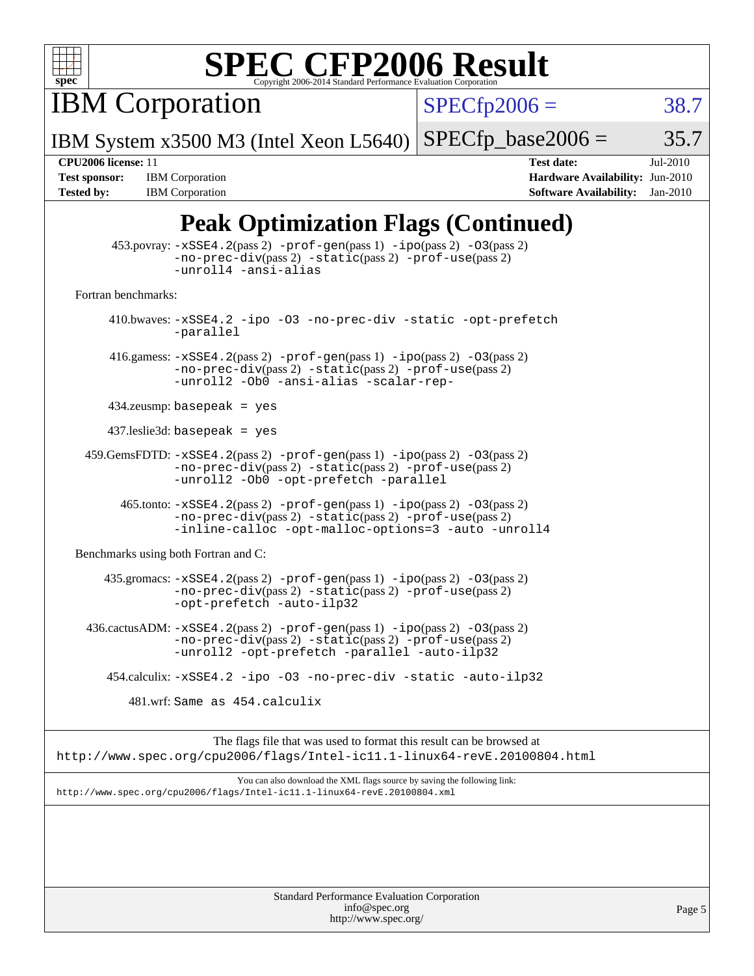

IBM Corporation

 $SPECTp2006 = 38.7$ 

IBM System x3500 M3 (Intel Xeon L5640)  $SPECTp\_base2006 = 35.7$ 

**[Tested by:](http://www.spec.org/auto/cpu2006/Docs/result-fields.html#Testedby)** IBM Corporation **[Software Availability:](http://www.spec.org/auto/cpu2006/Docs/result-fields.html#SoftwareAvailability)** Jan-2010

**[CPU2006 license:](http://www.spec.org/auto/cpu2006/Docs/result-fields.html#CPU2006license)** 11 **[Test date:](http://www.spec.org/auto/cpu2006/Docs/result-fields.html#Testdate)** Jul-2010 **[Test sponsor:](http://www.spec.org/auto/cpu2006/Docs/result-fields.html#Testsponsor)** IBM Corporation **[Hardware Availability:](http://www.spec.org/auto/cpu2006/Docs/result-fields.html#HardwareAvailability)** Jun-2010

## **[Peak Optimization Flags \(Continued\)](http://www.spec.org/auto/cpu2006/Docs/result-fields.html#PeakOptimizationFlags)**

|                                      | $\blacksquare$ can openingation $\blacksquare$ nigo (continued)                                                                                                                                  |
|--------------------------------------|--------------------------------------------------------------------------------------------------------------------------------------------------------------------------------------------------|
|                                      | $453.$ povray: $-xSSE4.2(pass2)$ -prof-gen $(pass1)$ -ipo $(pass2)$ -03 $(pass2)$<br>$-no-prec-div(pass 2) -static(pass 2) -prof-use(pass 2)$<br>-unroll4 -ansi-alias                            |
| Fortran benchmarks:                  |                                                                                                                                                                                                  |
| -parallel                            | 410.bwaves: -xSSE4.2 -ipo -03 -no-prec-div -static -opt-prefetch                                                                                                                                 |
|                                      | 416.gamess: $-xSSE4$ . 2(pass 2) $-prof-gen(pass 1) -ipo(pass 2) -O3(pass 2)$<br>-no-prec-div(pass 2) -static(pass 2) -prof-use(pass 2)<br>-unroll2 -Ob0 -ansi-alias -scalar-rep-                |
| $434$ .zeusmp: basepeak = yes        |                                                                                                                                                                                                  |
| $437$ .leslie3d: basepeak = yes      |                                                                                                                                                                                                  |
|                                      | $459.GemsFDTD: -xSSE4.2(pass 2) -prof-gen(pass 1) -ipo(pass 2) -03(pass 2)$<br>$-no-prec-div(pass 2) -static(pass 2) -prof-use(pass 2)$<br>-unroll2 - Ob0 - opt-prefetch - parallel              |
|                                      | $465$ .tonto: $-xSSE4$ . 2(pass 2) $-prof-gen(pass 1) -ipo(pass 2) -03(pass 2)$<br>-no-prec-div(pass 2) -static(pass 2) -prof-use(pass 2)<br>-inline-calloc -opt-malloc-options=3 -auto -unroll4 |
| Benchmarks using both Fortran and C: |                                                                                                                                                                                                  |
|                                      | $435$ .gromacs: $-xSSE4$ . $2(pass 2)$ -prof-gen(pass 1) -ipo(pass 2) -03(pass 2)<br>-no-prec-div(pass 2) -static(pass 2) -prof-use(pass 2)<br>-opt-prefetch -auto-ilp32                         |
|                                      | 436.cactusADM: -xSSE4.2(pass 2) -prof-gen(pass 1) -ipo(pass 2) -03(pass 2)<br>-no-prec-div(pass 2) -static(pass 2) -prof-use(pass 2)<br>-unroll2 -opt-prefetch -parallel -auto-ilp32             |
|                                      | 454.calculix: -xSSE4.2 -ipo -03 -no-prec-div -static -auto-ilp32                                                                                                                                 |
|                                      | 481.wrf: Same as 454.calculix                                                                                                                                                                    |
|                                      | The flags file that was used to format this result can be browsed at<br>http://www.spec.org/cpu2006/flags/Intel-ic11.1-linux64-revE.20100804.html                                                |
|                                      | You can also download the XML flags source by saving the following link:<br>http://www.spec.org/cpu2006/flags/Intel-ic11.1-linux64-revE.20100804.xml                                             |
|                                      |                                                                                                                                                                                                  |
|                                      |                                                                                                                                                                                                  |
|                                      |                                                                                                                                                                                                  |